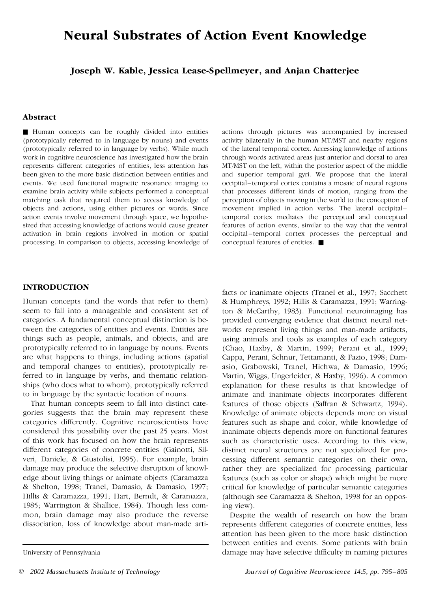# **Neural Substrates of Action Event Knowledge**

**Joseph W. Kable, Jessica Lease-Spellmeyer, and Anjan Chatterjee**

## **Abstract**

& Human concepts can be roughly divided into entities (prototypically referred to in language by nouns) and events (prototypically referred to in language by verbs). While much work in cognitive neuroscience has investigated how the brain represents different categories of entities, less attention has been given to the more basic distinction between entities and events. We used functional magnetic resonance imaging to examine brain activity while subjects performed a conceptual matching task that required them to access knowledge of objects and actions, using either pictures or words. Since action events involve movement through space, we hypothe sized that accessing knowledge of actions would cause greater activation in brain regions involved in motion or spatial processing. In comparison to objects, accessing knowledge of actions through pictures was accompanied by increased activity bilaterally in the human MT/MST and nearby regions of the lateral temporal cortex. Accessing knowledge of actions through words activated areas just anterior and dorsal to area MT/MST on the left, within the posterior aspect of the middle and superior temporal gyri. We propose that the lateral occipital–temporal cortex contains a mosaic of neural regions that processes different kinds of motion, ranging from the perception of objects moving in the world to the conception of movement implied in action verbs. The lateral occipital– temporal cortex mediates the perceptual and conceptual features of action events, similar to the way that the ventral occipital –temporal cortex processes the perceptual and conceptual features of entities.  $\blacksquare$ 

## **INTRODUCTION**

Human concepts (and the words that refer to them) seem to fall into a manageable and consistent set of categories. A fundamental conceptual distinction is between the categories of entities and events. Entities are things such as people, animals, and objects, and are prototypically referred to in language by nouns. Events are what happens to things, including actions (spatial and temporal changes to entities), prototypically referred to in language by verbs, and thematic relation ships (who does what to whom), prototypically referred to in language by the syntactic location of nouns.

That human concepts seem to fall into distinct cate gories suggests that the brain may represent these categories differently. Cognitive neuroscientists have considered this possibility over the past 25 years. Most of this work has focused on how the brain represents different categories of concrete entities (Gainotti, Sil veri, Daniele, & Giustolisi, 1995). For example, brain damage may produce the selective disruption of knowl edge about living things or animate objects (Caramazza & Shelton, 1998; Tranel, Damasio, & Damasio, 1997; Hillis & Caramazza, 1991; Hart, Berndt, & Caramazza, 1985; Warrington & Shallice, 1984). Though less com mon, brain damage may also produce the reverse dissociation, loss of knowledge about man-made artifacts or inanimate objects (Tranel et al., 1997; Sacchett & Humphreys, 1992; Hillis & Caramazza, 1991; Warrington & McCarthy, 1983). Functional neuroimaging has provided converging evidence that distinct neural net works represent living things and man-made artifacts, using animals and tools as examples of each category (Chao, Haxby, & Martin, 1999; Perani et al., 1999; Cappa, Perani, Schnur, Tettamanti, & Fazio, 1998; Dam asio, Grabowski, Tranel, Hichwa, & Damasio, 1996; Martin, Wiggs, Ungerleider, & Haxby, 1996). A common explanation for these results is that knowledge of animate and inanimate objects incorporates different features of those objects (Saffran & Schwartz, 1994). Knowledge of animate objects depends more on visual features such as shape and color, while knowledge of inanimate objects depends more on functional features such as characteristic uses. According to this view, distinct neural structures are not specialized for pro cessing different semantic categories on their own, rather they are specialized for processing particular features (such as color or shape) which might be more critical for knowledge of particular semantic categories (although see Caramazza & Shelton, 1998 for an opposing view).

Despite the wealth of research on how the brain represents different categories of concrete entities, less attention has been given to the more basic distinction between entities and events. Some patients with brain University of Pennsylvania damage may have selective difficulty in naming pictures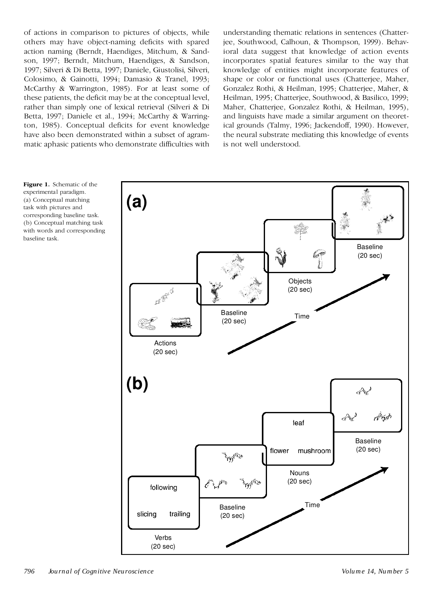of actions in comparison to pictures of objects, while others may have object-naming deficits with spared action naming (Berndt, Haendiges, Mitchum, & Sand son, 1997; Berndt, Mitchum, Haendiges, & Sandson, 1997; Silveri & Di Betta, 1997; Daniele, Giustolisi, Silveri, Colosimo, & Gainotti, 1994; Damasio & Tranel, 1993; McCarthy & Warrington, 1985). For at least some of these patients, the deficit may be at the conceptual level, rather than simply one of lexical retrieval (Silveri & Di Betta, 1997; Daniele et al., 1994; McCarthy & Warrington, 1985). Conceptual deficits for event knowledge have also been demonstrated within a subset of agram matic aphasic patients who demonstrate difficulties with understanding thematic relations in sentences (Chatterjee, Southwood, Calhoun, & Thompson, 1999). Behavioral data suggest that knowledge of action events incorporates spatial features similar to the way that knowledge of entities might incorporate features of shape or color or functional uses (Chatterjee, Maher, Gonzalez Rothi, & Heilman, 1995; Chatterjee, Maher, & Heilman, 1995; Chatterjee, Southwood, & Basilico, 1999; Maher, Chatterjee, Gonzalez Rothi, & Heilman, 1995), and linguists have made a similar argument on theoretical grounds (Talmy, 1996; Jackendoff, 1990). However, the neural substrate mediating this knowledge of events is not well understood.

**Figure 1.** Schematic of the experimental paradigm. (a) Conceptual matching task with pictures and corresponding baseline task. (b) Conceptual matching task with words and corresponding baseline task.

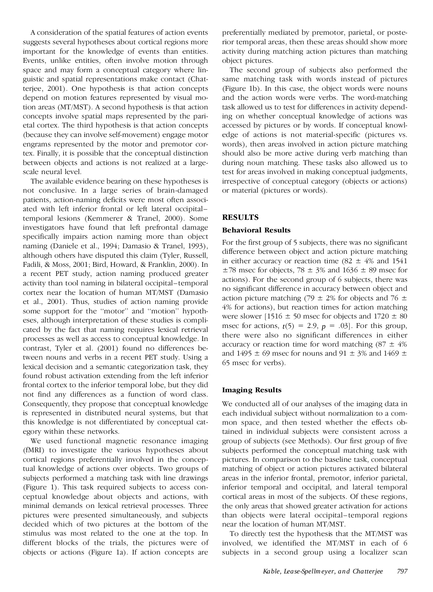A consideration of the spatial features of action events suggests several hypotheses about cortical regions more important for the knowledge of events than entities. Events, unlike entities, often involve motion through space and may form a conceptual category where lin guistic and spatial representations make contact (Chatterjee, 2001). One hypothesis is that action concepts depend on motion features represented by visual motion areas (MT/MST). A second hypothesis is that action concepts involve spatial maps represented by the pari etal cortex. The third hypothesis is that action concepts (because they can involve self-movement) engage motor engrams represented by the motor and premotor cortex. Finally, it is possible that the conceptual distinction between objects and actions is not realized at a large scale neural level.

The available evidence bearing on these hypotheses is not conclusive. In a large series of brain-damaged patients, action-naming deficits were most often associ ated with left inferior frontal or left lateral occipital– temporal lesions (Kemmerer & Tranel, 2000). Some investigators have found that left prefrontal damage specifically impairs action naming more than object naming (Daniele et al., 1994; Damasio & Tranel, 1993), although others have disputed this claim (Tyler, Russell, Fadili, & Moss, 2001; Bird, Howard, & Franklin, 2000). In a recent PET study, action naming produced greater activity than tool naming in bilateral occipital–temporal cortex near the location of human MT/MST (Damasio et al., 2001). Thus, studies of action naming provide some support for the ''motor'' and ''motion'' hypoth eses, although interpretation of these studies is compli cated by the fact that naming requires lexical retrieval processes as well as access to conceptual knowledge. In contrast, Tyler et al. (2001) found no differences between nouns and verbs in a recent PET study. Using a lexical decision and a semantic categorization task, they found robust activation extending from the left inferior frontal cortex to the inferior temporal lobe, but they did not find any differences as a function of word class. Consequently, they propose that conceptual knowledge is represented in distributed neural systems, but that this knowledge is not differentiated by conceptual cat egory within these networks.

We used functional magnetic resonance imaging (fMRI) to investigate the various hypotheses about cortical regions preferentially involved in the conceptual knowledge of actions over objects. Two groups of subjects performed a matching task with line drawings (Figure 1). This task required subjects to access con ceptual knowledge about objects and actions, with minimal demands on lexical retrieval processes. Three pictures were presented simultaneously, and subjects decided which of two pictures at the bottom of the stimulus was most related to the one at the top. In different blocks of the trials, the pictures were of objects or actions (Figure 1a). If action concepts are

preferentially mediated by premotor, parietal, or posterior temporal areas, then these areas should show more activity during matching action pictures than matching object pictures.

The second group of subjects also performed the same matching task with words instead of pictures (Figure 1b). In this case, the object words were nouns and the action words were verbs. The word-matching task allowed us to test for differences in activity depending on whether conceptual knowledge of actions was accessed by pictures or by words. If conceptual knowl edge of actions is not material-specific (pictures vs. words), then areas involved in action picture matching should also be more active during verb matching than during noun matching. These tasks also allowed us to test for areas involved in making conceptual judgments, irrespective of conceptual category (objects or actions) or material (pictures or words).

## **RESULTS**

### **Behavioral Results**

For the first group of 5 subjects, there was no significant difference between object and action picture matching in either accuracy or reaction time (82  $\pm$  4% and 1541  $\pm$ 78 msec for objects, 78  $\pm$  3% and 1636  $\pm$  89 msec for actions). For the second group of 6 subjects, there was no significant difference in accuracy between object and action picture matching (79  $\pm$  2% for objects and 76  $\pm$ 4% for actions), but reaction times for action matching were slower  $[1516 \pm 50$  msec for objects and  $1720 \pm 80$ msec for actions,  $t(5) = 2.9$ ,  $p = .03$ . For this group, there were also no significant differences in either accuracy or reaction time for word matching  $(87 \pm 4\%)$ and 1495  $\pm$  69 msec for nouns and 91  $\pm$  3% and 1469  $\pm$ 65 msec for verbs).

## **Imaging Results**

We conducted all of our analyses of the imaging data in each individual subject without normalization to a com mon space, and then tested whether the effects obtained in individual subjects were consistent across a group of subjects (see Methods). Our first group of five subjects performed the conceptual matching task with pictures. In comparison to the baseline task, conceptual matching of object or action pictures activated bilateral areas in the inferior frontal, premotor, inferior parietal, inferior temporal and occipital, and lateral temporal cortical areas in most of the subjects. Of these regions, the only areas that showed greater activation for actions than objects were lateral occipital– temporal regions near the location of human MT/MST.

To directly test the hypothesis that the MT/MST was involved, we identified the MT/MST in each of 6 subjects in a second group using a localizer scan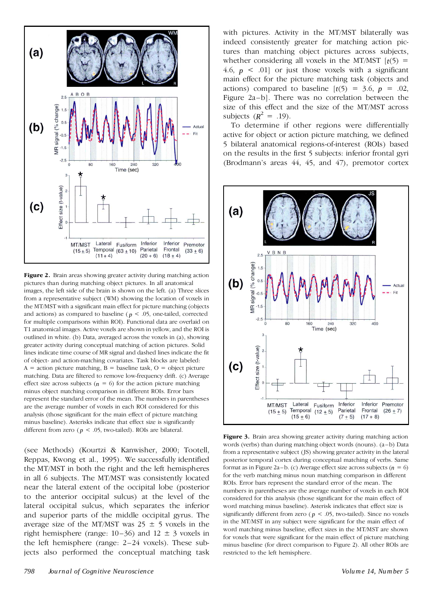

**Figure 2.** Brain areas showing greater activity during matching action pictures than during matching object pictures. In all anatomical images, the left side of the brain is shown on the left. (a) Three slices from a representative subject (WM) showing the location of voxels in the MT/MST with a significant main effect for picture matching (objects and actions) as compared to baseline ( $p < .05$ , one-tailed, corrected for multiple comparisons within ROI). Functional data are overlaid on T1 anatomical images. Active voxels are shown in yellow, and the ROI is outlined in white. (b) Data, averaged across the voxels in (a), showing greater activity during conceptual matching of action pictures. Solid lines indicate time course of MR signal and dashed lines indicate the fit of object- and action-matching covariates. Task blocks are labeled:  $A =$  action picture matching,  $B =$  baseline task,  $O =$  object picture matching. Data are filtered to remove low-frequency drift. (c) Average effect size across subjects ( $n = 6$ ) for the action picture matching minus object matching comparison in different ROIs. Error bars represent the standard error of the mean. The numbers in parentheses are the average number of voxels in each ROI considered for this analysis (those significant for the main effect of picture matching minus baseline). Asterisks indicate that effect size is significantly different from zero ( $p < .05$ , two-tailed). ROIs are bilateral.<br>**Figure 3.** Brain area showing greater activity during matching action

(see Methods) (Kourtzi & Kanwisher, 2000; Tootell, Reppas, Kwong et al., 1995). We successfully identified the MT/MST in both the right and the left hemispheres in all 6 subjects. The MT/MST was consistently located near the lateral extent of the occipital lobe (posterior to the anterior occipital sulcus) at the level of the lateral occipital sulcus, which separates the inferior and superior parts of the middle occipital gyrus. The average size of the MT/MST was  $25 \pm 5$  voxels in the right hemisphere (range:  $10-36$ ) and  $12 \pm 3$  voxels in the left hemisphere (range: 2–24 voxels). These subjects also performed the conceptual matching task with pictures. Activity in the MT/MST bilaterally was indeed consistently greater for matching action pictures than matching object pictures across subjects, whether considering all voxels in the MT/MST  $[t(5)$  = 4.6,  $p \leq 0.01$  or just those voxels with a significant main effect for the picture matching task (objects and actions) compared to baseline  $[t(5) = 3.6, p = .02]$ , Figure 2a–b]. There was no correlation between the size of this effect and the size of the MT/MST across subjects  $(R^2 = .19)$ .

To determine if other regions were differentially active for object or action picture matching, we defined 5 bilateral anatomical regions-of-interest (ROIs) based on the results in the first 5 subjects: inferior frontal gyri (Brodmann's areas 44, 45, and 47), premotor cortex



words (verbs) than during matching object words (nouns). (a-b) Data from a representative subject (JS) showing greater activity in the lateral posterior temporal cortex during conceptual matching of verbs. Same format as in Figure 2a-b. (c) Average effect size across subjects  $(n = 6)$ for the verb matching minus noun matching comparison in different ROIs. Error bars represent the standard error of the mean. The numbers in parentheses are the average number of voxels in each ROI considered for this analysis (those significant for the main effect of word matching minus baseline). Asterisk indicates that effect size is significantly different from zero ( $p < .05$ , two-tailed). Since no voxels in the MT/MST in any subject were significant for the main effect of word matching minus baseline, effect sizes in the MT/MST are shown for voxels that were significant for the main effect of picture matching minus baseline (for direct comparison to Figure 2). All other ROIs are restricted to the left hemisphere.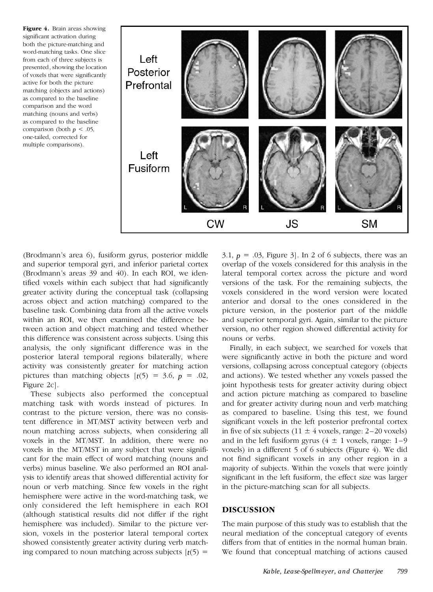**Figure 4.** Brain areas showing significant activation during both the picture-matching and word-matching tasks. One slice from each of three subjects is presented, showing the location of voxels that were significantly active for both the picture matching (objects and actions) as compared to the baseline comparison and the word matching (nouns and verbs) as compared to the baseline comparison (both  $p < .05$ , one-tailed, corrected for multiple comparisons).



(Brodmann's area 6), fusiform gyrus, posterior middle and superior temporal gyri, and inferior parietal cortex (Brodmann's areas 39 and 40). In each ROI, we identified voxels within each subject that had significantly greater activity during the conceptual task (collapsing across object and action matching) compared to the baseline task. Combining data from all the active voxels within an ROI, we then examined the difference between action and object matching and tested whether this difference was consistent across subjects. Using this analysis, the only significant difference was in the posterior lateral temporal regions bilaterally, where activity was consistently greater for matching action pictures than matching objects  $[t(5) = 3.6, p = .02]$ , Figure 2c].

These subjects also performed the conceptual matching task with words instead of pictures. In contrast to the picture version, there was no consistent difference in MT/MST activity between verb and noun matching across subjects, when considering all voxels in the MT/MST. In addition, there were no voxels in the MT/MST in any subject that were signifi cant for the main effect of word matching (nouns and verbs) minus baseline. We also performed an ROI anal ysis to identify areas that showed differential activity for noun or verb matching. Since few voxels in the right hemisphere were active in the word-matching task, we only considered the left hemisphere in each ROI (although statistical results did not differ if the right hemisphere was included). Similar to the picture ver sion, voxels in the posterior lateral temporal cortex showed consistently greater activity during verb matching compared to noun matching across subjects  $[t(5) =$ 

3.1,  $p = .03$ , Figure 3. In 2 of 6 subjects, there was an overlap of the voxels considered for this analysis in the lateral temporal cortex across the picture and word versions of the task. For the remaining subjects, the voxels considered in the word version were located anterior and dorsal to the ones considered in the picture version, in the posterior part of the middle and superior temporal gyri. Again, similar to the picture version, no other region showed differential activity for nouns or verbs.

Finally, in each subject, we searched for voxels that were significantly active in both the picture and word versions, collapsing across conceptual category (objects and actions). We tested whether any voxels passed the joint hypothesis tests for greater activity during object and action picture matching as compared to baseline and for greater activity during noun and verb matching as compared to baseline. Using this test, we found significant voxels in the left posterior prefrontal cortex in five of six subjects (11  $\pm$  4 voxels, range: 2–20 voxels) and in the left fusiform gyrus  $(4 \pm 1 \text{ voxels}, \text{range}: 1-9$ voxels) in a different 5 of 6 subjects (Figure 4). We did not find significant voxels in any other region in a majority of subjects. Within the voxels that were jointly significant in the left fusiform, the effect size was larger in the picture-matching scan for all subjects.

#### **DISCUSSION**

The main purpose of this study was to establish that the neural mediation of the conceptual category of events differs from that of entities in the normal human brain. We found that conceptual matching of actions caused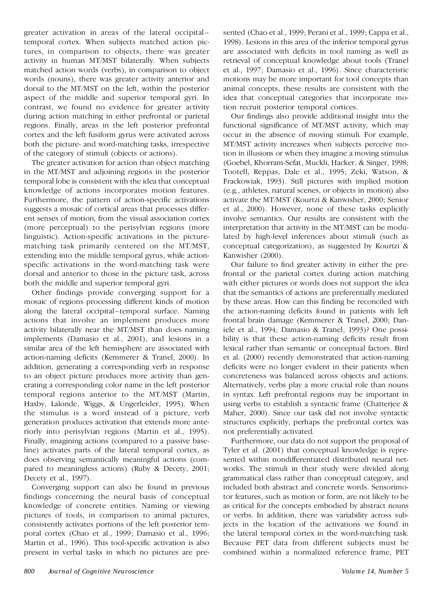greater activation in areas of the lateral occipital – temporal cortex. When subjects matched action pictures, in comparison to objects, there was greater activity in human MT/MST bilaterally. When subjects matched action words (verbs), in comparison to object words (nouns), there was greater activity anterior and dorsal to the MT/MST on the left, within the posterior aspect of the middle and superior temporal gyri. In contrast, we found no evidence for greater activity during action matching in either prefrontal or parietal regions. Finally, areas in the left posterior prefrontal cortex and the left fusiform gyrus were activated across both the picture- and word-matching tasks, irrespective of the category of stimuli (objects or actions).

The greater activation for action than object matching in the MT/MST and adjoining regions in the posterior temporal lobe is consistent with the idea that conceptual knowledge of actions incorporates motion features. Furthermore, the pattern of action-specific activations suggests a mosaic of cortical areas that processes differ ent senses of motion, from the visual association cortex (more perceptual) to the perisylvian regions (more linguistic). Action-specific activations in the picture matching task primarily centered on the MT/MST, extending into the middle temporal gyrus, while action specific activations in the word-matching task were dorsal and anterior to those in the picture task, across both the middle and superior temporal gyri.

Other findings provide converging support for a mosaic of regions processing different kinds of motion along the lateral occipital–temporal surface. Naming actions that involve an implement produces more activity bilaterally near the MT/MST than does naming implements (Damasio et al., 2001), and lesions in a similar area of the left hemisphere are associated with action-naming deficits (Kemmerer & Tranel, 2000). In addition, generating a corresponding verb in response to an object picture produces more activity than gen erating a corresponding color name in the left posterior temporal regions anterior to the MT/MST (Martin, Haxby, Lalonde, Wiggs, & Ungerleider, 1995). When the stimulus is a word instead of a picture, verb generation produces activation that extends more anteriorly into perisylvian regions (Martin et al., 1995). Finally, imagining actions (compared to a passive baseline) activates parts of the lateral temporal cortex, as does observing semantically meaningful actions (com pared to meaningless actions) (Ruby & Decety, 2001; Decety et al., 1997).

Converging support can also be found in previous findings concerning the neural basis of conceptual knowledge of concrete entities. Naming or viewing pictures of tools, in comparison to animal pictures, consistently activates portions of the left posterior tem poral cortex (Chao et al., 1999; Damasio et al., 1996; Martin et al., 1996). This tool-specific activation is also present in verbal tasks in which no pictures are presented (Chao et al., 1999; Perani et al., 1999; Cappa et al., 1998). Lesions in this area of the inferior temporal gyrus are associated with deficits in tool naming as well as retrieval of conceptual knowledge about tools (Tranel et al., 1997; Damasio et al., 1996). Since characteristic motions may be more important for tool concepts than animal concepts, these results are consistent with the idea that conceptual categories that incorporate motion recruit posterior temporal cortices.

Our findings also provide additional insight into the functional significance of MT/MST activity, which may occur in the absence of moving stimuli. For example, MT/MST activity increases when subjects perceive motion in illusions or when they imagine a moving stimulus (Goebel, Khorram-Sefat, Muckli, Hacker, & Singer, 1998; Tootell, Reppas, Dale et al., 1995; Zeki, Watson, & Frackowiak, 1993). Still pictures with implied motion (e.g., athletes, natural scenes, or objects in motion) also activate the MT/MST (Kourtzi & Kanwisher, 2000; Senior et al., 2000). However, none of these tasks explicitly involve semantics. Our results are consistent with the interpretation that activity in the MT/MST can be modulated by high-level inferences about stimuli (such as conceptual categorization), as suggested by Kourtzi & Kanwisher (2000).

Our failure to find greater activity in either the prefrontal or the parietal cortex during action matching with either pictures or words does not support the idea that the semantics of actions are preferentially mediated by these areas. How can this finding be reconciled with the action-naming deficits found in patients with left frontal brain damage (Kemmerer & Tranel, 2000; Daniele et al., 1994; Damasio & Tranel, 1993)? One possi bility is that these action-naming deficits result from lexical rather than semantic or conceptual factors. Bird et al. (2000) recently demonstrated that action-naming deficits were no longer evident in their patients when concreteness was balanced across objects and actions. Alternatively, verbs play a more crucial role than nouns in syntax. Left prefrontal regions may be important in using verbs to establish a syntactic frame (Chatterjee & Maher, 2000). Since our task did not involve syntactic structures explicitly, perhaps the prefrontal cortex was not preferentially activated.

Furthermore, our data do not support the proposal of Tyler et al. (2001) that conceptual knowledge is repre sented within nondifferentiated distributed neural net works. The stimuli in their study were divided along grammatical class rather than conceptual category, and included both abstract and concrete words. Sensorimotor features, such as motion or form, are not likely to be as critical for the concepts embodied by abstract nouns or verbs. In addition, there was variability across subjects in the location of the activations we found in the lateral temporal cortex in the word-matching task. Because PET data from different subjects must be combined within a normalized reference frame, PET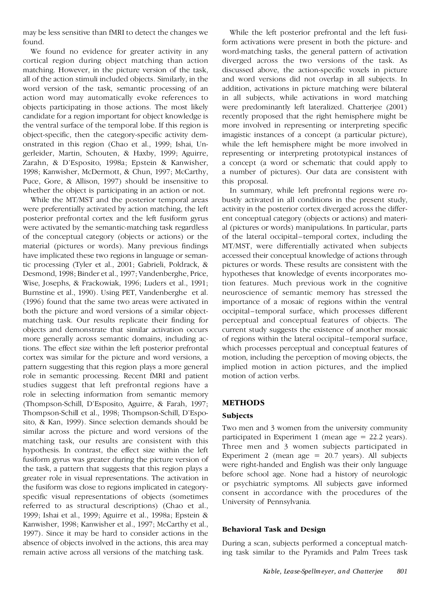may be less sensitive than fMRI to detect the changes we found.

We found no evidence for greater activity in any cortical region during object matching than action matching. However, in the picture version of the task, all of the action stimuli included objects. Similarly, in the word version of the task, semantic processing of an action word may automatically evoke references to objects participating in those actions. The most likely candidate for a region important for object knowledge is the ventral surface of the temporal lobe. If this region is object-specific, then the category-specific activity dem onstrated in this region (Chao et al., 1999; Ishai, Un gerleider, Martin, Schouten, & Haxby, 1999; Aguirre, Zarahn, & D'Esposito, 1998a; Epstein & Kanwisher, 1998; Kanwisher, McDermott, & Chun, 1997; McCarthy, Puce, Gore, & Allison, 1997) should be insensitive to whether the object is participating in an action or not.

While the MT/MST and the posterior temporal areas were preferentially activated by action matching, the left posterior prefrontal cortex and the left fusiform gyrus were activated by the semantic-matching task regardless of the conceptual category (objects or actions) or the material (pictures or words). Many previous findings have implicated these two regions in language or semantic processing (Tyler et al., 2001; Gabrieli, Poldrack, & Desmond, 1998; Binder et al., 1997; Vandenberghe, Price, Wise, Josephs, & Frackowiak, 1996; Luders et al., 1991; Burnstine et al., 1990). Using PET, Vandenberghe et al. (1996) found that the same two areas were activated in both the picture and word versions of a similar object matching task. Our results replicate their finding for objects and demonstrate that similar activation occurs more generally across semantic domains, including actions. The effect size within the left posterior prefrontal cortex was similar for the picture and word versions, a pattern suggesting that this region plays a more general role in semantic processing. Recent fMRI and patient studies suggest that left prefrontal regions have a role in selecting information from semantic memory (Thompson-Schill, D'Esposito, Aguirre, & Farah, 1997; Thompson-Schill et al., 1998; Thompson-Schill, D'Espo sito, & Kan, 1999). Since selection demands should be similar across the picture and word versions of the matching task, our results are consistent with this hypothesis. In contrast, the effect size within the left fusiform gyrus was greater during the picture version of the task, a pattern that suggests that this region plays a greater role in visual representations. The activation in the fusiform was close to regions implicated in category specific visual representations of objects (sometimes referred to as structural descriptions) (Chao et al., 1999; Ishai et al., 1999; Aguirre et al., 1998a; Epstein & Kanwisher, 1998; Kanwisher et al., 1997; McCarthy et al., 1997). Since it may be hard to consider actions in the absence of objects involved in the actions, this area may remain active across all versions of the matching task.

While the left posterior prefrontal and the left fusiform activations were present in both the picture- and word-matching tasks, the general pattern of activation diverged across the two versions of the task. As discussed above, the action-specific voxels in picture and word versions did not overlap in all subjects. In addition, activations in picture matching were bilateral in all subjects, while activations in word matching were predominantly left lateralized. Chatterjee (2001) recently proposed that the right hemisphere might be more involved in representing or interpreting specific imagistic instances of a concept (a particular picture), while the left hemisphere might be more involved in representing or interpreting prototypical instances of a concept (a word or schematic that could apply to a number of pictures). Our data are consistent with this proposal.

In summary, while left prefrontal regions were ro bustly activated in all conditions in the present study, activity in the posterior cortex diverged across the differ ent conceptual category (objects or actions) and materi al (pictures or words) manipulations. In particular, parts of the lateral occipital–temporal cortex, including the MT/MST, were differentially activated when subjects accessed their conceptual knowledge of actions through pictures or words. These results are consistent with the hypotheses that knowledge of events incorporates motion features. Much previous work in the cognitive neuroscience of semantic memory has stressed the importance of a mosaic of regions within the ventral occipital–temporal surface, which processes different perceptual and conceptual features of objects. The current study suggests the existence of another mosaic of regions within the lateral occipital–temporal surface, which processes perceptual and conceptual features of motion, including the perception of moving objects, the implied motion in action pictures, and the implied motion of action verbs.

## **METHODS**

#### **Subjects**

Two men and 3 women from the university community participated in Experiment 1 (mean age = 22.2 years). Three men and 3 women subjects participated in Experiment 2 (mean age  $= 20.7$  years). All subjects were right-handed and English was their only language before school age. None had a history of neurologic or psychiatric symptoms. All subjects gave informed consent in accordance with the procedures of the University of Pennsylvania.

#### **Behavioral Task and Design**

During a scan, subjects performed a conceptual matching task similar to the Pyramids and Palm Trees task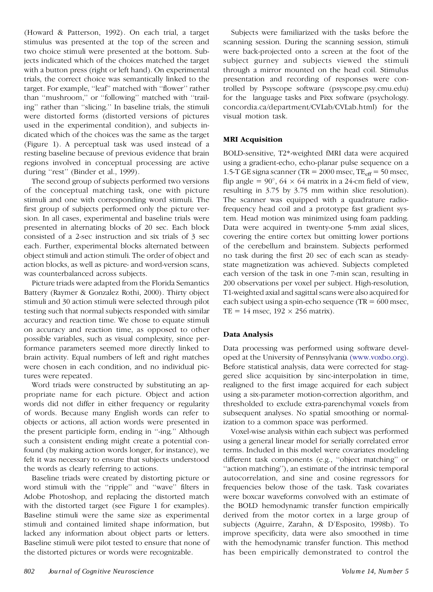(Howard & Patterson, 1992). On each trial, a target stimulus was presented at the top of the screen and two choice stimuli were presented at the bottom. Subjects indicated which of the choices matched the target with a button press (right or left hand). On experimental trials, the correct choice was semantically linked to the target. For example, ''leaf'' matched with ''flower'' rather than ''mushroom,'' or ''following'' matched with ''trailing'' rather than ''slicing.'' In baseline trials, the stimuli were distorted forms (distorted versions of pictures used in the experimental condition), and subjects in dicated which of the choices was the same as the target (Figure 1). A perceptual task was used instead of a resting baseline because of previous evidence that brain regions involved in conceptual processing are active during "rest" (Binder et al., 1999).

The second group of subjects performed two versions of the conceptual matching task, one with picture stimuli and one with corresponding word stimuli. The first group of subjects performed only the picture ver sion. In all cases, experimental and baseline trials were presented in alternating blocks of 20 sec. Each block consisted of a 2-sec instruction and six trials of 3 sec each. Further, experimental blocks alternated between object stimuli and action stimuli. The order of object and action blocks, as well as picture- and word-version scans, was counterbalanced across subjects.

Picture triads were adapted from the Florida Semantics Battery (Raymer & Gonzalez Rothi, 2000). Thirty object stimuli and 30 action stimuli were selected through pilot testing such that normal subjects responded with similar accuracy and reaction time. We chose to equate stimuli on accuracy and reaction time, as opposed to other possible variables, such as visual complexity, since performance parameters seemed more directly linked to brain activity. Equal numbers of left and right matches were chosen in each condition, and no individual pictures were repeated.

Word triads were constructed by substituting an ap propriate name for each picture. Object and action words did not differ in either frequency or regularity of words. Because many English words can refer to objects or actions, all action words were presented in the present participle form, ending in ''-ing.'' Although such a consistent ending might create a potential confound (by making action words longer, for instance), we felt it was necessary to ensure that subjects understood the words as clearly referring to actions.

Baseline triads were created by distorting picture or word stimuli with the "ripple" and "wave" filters in Adobe Photoshop, and replacing the distorted match with the distorted target (see Figure 1 for examples). Baseline stimuli were the same size as experimental stimuli and contained limited shape information, but lacked any information about object parts or letters. Baseline stimuli were pilot tested to ensure that none of the distorted pictures or words were recognizable.

Subjects were familiarized with the tasks before the scanning session. During the scanning session, stimuli were back-projected onto a screen at the foot of the subject gurney and subjects viewed the stimuli through a mirror mounted on the head coil. Stimulus presentation and recording of responses were controlled by Psyscope software (psyscope.psy.cmu.edu) for the language tasks and Pixx software (psychology. concordia.ca/department/CVLab/CVLab.html) for the visual motion task.

## **MRI Acquisition**

BOLD-sensitive, T2\*-weighted fMRI data were acquired using a gradient-echo, echo-planar pulse sequence on a 1.5-T GE signa scanner (TR =  $2000$  msec, TE<sub>eff</sub> =  $50$  msec, flip angle =  $90^{\circ}$ , 64  $\times$  64 matrix in a 24-cm field of view, resulting in 3.75 by 3.75 mm within slice resolution). The scanner was equipped with a quadrature radiofrequency head coil and a prototype fast gradient system. Head motion was minimized using foam padding. Data were acquired in twenty-one 5-mm axial slices, covering the entire cortex but omitting lower portions of the cerebellum and brainstem. Subjects performed no task during the first 20 sec of each scan as steady state magnetization was achieved. Subjects completed each version of the task in one 7-min scan, resulting in 200 observations per voxel per subject. High-resolution, T1-weighted axial and sagittal scans were also acquired for each subject using a spin-echo sequence (TR  $= 600$  msec, TE = 14 msec,  $192 \times 256$  matrix).

# **Data Analysis**

Data processing was performed using software devel oped at the University of Pennsylvania [\(www.voxbo.org\).](http://www.voxbo.org) Before statistical analysis, data were corrected for stag gered slice acquisition by sinc-interpolation in time, realigned to the first image acquired for each subject using a six-parameter motion-correction algorithm, and thresholded to exclude extra-parenchymal voxels from subsequent analyses. No spatial smoothing or normalization to a common space was performed.

Voxel-wise analysis within each subject was performed using a general linear model for serially correlated error terms. Included in this model were covariates modeling different task components (e.g., ''object matching'' or ''action matching''), an estimate of the intrinsic temporal autocorrelation, and sine and cosine regressors for frequencies below those of the task. Task covariates were boxcar waveforms convolved with an estimate of the BOLD hemodynamic transfer function empirically derived from the motor cortex in a large group of subjects (Aguirre, Zarahn, & D'Esposito, 1998b). To improve specificity, data were also smoothed in time with the hemodynamic transfer function. This method has been empirically demonstrated to control the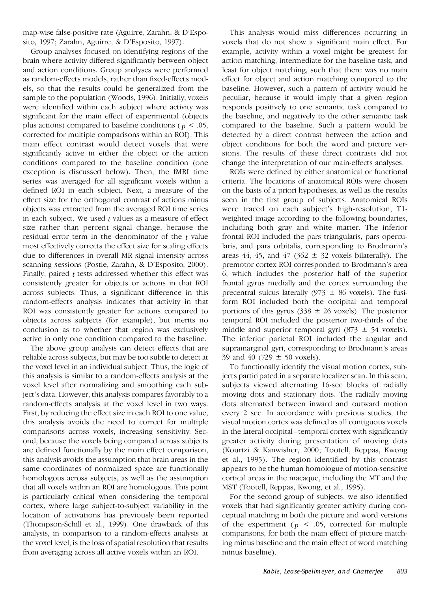map-wise false-positive rate (Aguirre, Zarahn, & D'Espo sito, 1997; Zarahn, Aguirre, & D'Esposito, 1997).

Group analyses focused on identifying regions of the brain where activity differed significantly between object and action conditions. Group analyses were performed as random-effects models, rather than fixed-effects mod els, so that the results could be generalized from the sample to the population (Woods, 1996). Initially, voxels were identified within each subject where activity was significant for the main effect of experimental (objects plus actions) compared to baseline conditions ( $p < .05$ , corrected for multiple comparisons within an ROI). This main effect contrast would detect voxels that were significantly active in either the object or the action conditions compared to the baseline condition (one exception is discussed below). Then, the fMRI time series was averaged for all significant voxels within a defined ROI in each subject. Next, a measure of the effect size for the orthogonal contrast of actions minus objects was extracted from the averaged ROI time series in each subject. We used *t* values as a measure of effect size rather than percent signal change, because the residual error term in the denominator of the *t* value most effectively corrects the effect size for scaling effects due to differences in overall MR signal intensity across scanning sessions (Postle, Zarahn, & D'Esposito, 2000). Finally, paired *t* tests addressed whether this effect was consistently greater for objects or actions in that ROI across subjects. Thus, a significant difference in this random-effects analysis indicates that activity in that ROI was consistently greater for actions compared to objects across subjects (for example), but merits no conclusion as to whether that region was exclusively active in only one condition compared to the baseline.

The above group analysis can detect effects that are reliable across subjects, but may be too subtle to detect at the voxel level in an individual subject. Thus, the logic of this analysis is similar to a random-effects analysis at the voxel level after normalizing and smoothing each subject's data. However, this analysis compares favorably to a random-effects analysis at the voxel level in two ways. First, by reducing the effect size in each ROI to one value, this analysis avoids the need to correct for multiple comparisons across voxels, increasing sensitivity. Sec ond, because the voxels being compared across subjects are defined functionally by the main effect comparison, this analysis avoids the assumption that brain areas in the same coordinates of normalized space are functionally homologous across subjects, as well as the assumption that all voxels within an ROI are homologous. This point is particularly critical when considering the temporal cortex, where large subject-to-subject variability in the location of activations has previously been reported (Thompson-Schill et al., 1999). One drawback of this analysis, in comparison to a random-effects analysis at the voxel level, is the loss of spatial resolution that results from averaging across all active voxels within an ROI.

This analysis would miss differences occurring in voxels that do not show a significant main effect. For example, activity within a voxel might be greatest for action matching, intermediate for the baseline task, and least for object matching, such that there was no main effect for object and action matching compared to the baseline. However, such a pattern of activity would be peculiar, because it would imply that a given region responds positively to one semantic task compared to the baseline, and negatively to the other semantic task compared to the baseline. Such a pattern would be detected by a direct contrast between the action and object conditions for both the word and picture ver sions. The results of these direct contrasts did not change the interpretation of our main-effects analyses.

ROIs were defined by either anatomical or functional criteria. The locations of anatomical ROIs were chosen on the basis of a priori hypotheses, as well as the results seen in the first group of subjects. Anatomical ROIs were traced on each subject's high-resolution, T1 weighted image according to the following boundaries, including both gray and white matter. The inferior frontal ROI included the pars triangularis, pars opercularis, and pars orbitalis, corresponding to Brodmann's areas 44, 45, and 47 (362  $\pm$  32 voxels bilaterally). The premotor cortex ROI corresponded to Brodmann's area 6, which includes the posterior half of the superior frontal gyrus medially and the cortex surrounding the precentral sulcus laterally (973  $\pm$  86 voxels). The fusiform ROI included both the occipital and temporal portions of this gyrus  $(338 \pm 26 \text{ voxels})$ . The posterior temporal ROI included the posterior two-thirds of the middle and superior temporal gyri (873  $\pm$  54 voxels). The inferior parietal ROI included the angular and supramarginal gyri, corresponding to Brodmann's areas 39 and 40 (729  $\pm$  50 voxels).

To functionally identify the visual motion cortex, subjects participated in a separate localizer scan. In this scan, subjects viewed alternating 16-sec blocks of radially moving dots and stationary dots. The radially moving dots alternated between inward and outward motion every 2 sec. In accordance with previous studies, the visual motion cortex was defined as all contiguous voxels in the lateral occipital–temporal cortex with significantly greater activity during presentation of moving dots (Kourtzi & Kanwisher, 2000; Tootell, Reppas, Kwong et al., 1995). The region identified by this contrast appears to be the human homologue of motion-sensitive cortical areas in the macaque, including the MT and the MST (Tootell, Reppas, Kwong, et al., 1995).

For the second group of subjects, we also identified voxels that had significantly greater activity during con ceptual matching in both the picture and word versions of the experiment ( $p \leq 0.05$ , corrected for multiple comparisons, for both the main effect of picture matching minus baseline and the main effect of word matching minus baseline).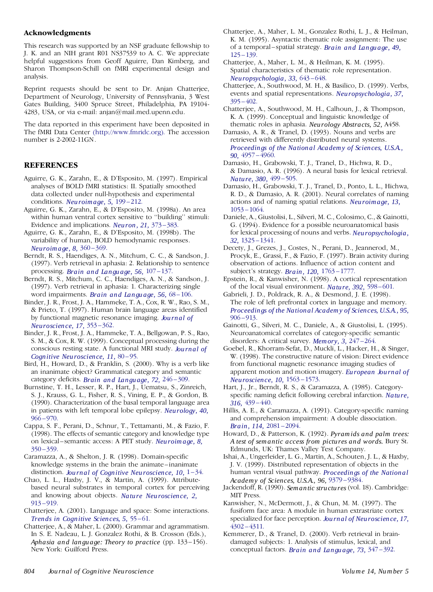#### **Acknowledgments**

This research was supported by an NSF graduate fellowship to J. K. and an NIH grant R01 NS37539 to A. C. We appreciate helpful suggestions from Geoff Aguirre, Dan Kimberg, and Sharon Thompson-Schill on fMRI experimental design and analysis.

Reprint requests should be sent to Dr. Anjan Chatterjee, Department of Neurology, University of Pennsylvania, 3 West Gates Building, 3400 Spruce Street, Philadelphia, PA 19104- 4283, USA, or via e-mail: anjan@mail.med.upenn.edu.

The data reported in this experiment have been deposited in The fMRI Data Center [\(http://www.fmridc.org\).](http://www.fmridc.org) The accession number is 2-2002-11GN.

#### **REFERENCES**

- Aguirre, G. K., Zarahn, E., & D'Esposito, M. (1997). Empirical analyses of BOLD fMRI statistics: II. Spatially smoothed data collected under null-hypothesis and experimental conditions. *[Neuroimage,](http://alidoro.catchword.com/nw=1/rpsv/cgi-bin/linker?ext=a&reqidx=/1053-8119^28^295L.199[aid=2000306]) 5,* 199 –212.
- Aguirre, G. K., Zarahn, E., & D'Esposito, M. (1998a). An area within human ventral cortex sensitive to ''building'' stimuli: Evidence and implications. *Neuron, 21,* [373–383.](http://alidoro.catchword.com/nw=1/rpsv/cgi-bin/linker?ext=a&reqidx=/0896-6273^28^2921L.373[aid=847827])
- Aguirre, G. K., Zarahn, E., & D'Esposito, M. (1998b). The variability of human, BOLD hemodynamic responses. *[Neuroimage,](http://alidoro.catchword.com/nw=1/rpsv/cgi-bin/linker?ext=a&reqidx=/1053-8119^28^298L.360[aid=880448]) 8,* 360 –369.
- Berndt, R. S., Haendiges, A. N., Mitchum, C. C., & Sandson, J. (1997). Verb retrieval in aphasia: 2. Relationship to sentence processing. *Brain and [Langu](http://alidoro.catchword.com/nw=1/rpsv/cgi-bin/linker?ext=a&reqidx=/0093-934X^28^2956L.107[aid=297911]) age, 56,* 107 –137.
- Berndt, R. S., Mitchum, C. C., Haendiges, A. N., & Sandson, J. (1997). Verb retrieval in aphasia: 1. [Characterizing](http://alidoro.catchword.com/nw=1/rpsv/cgi-bin/linker?ext=a&reqidx=/0093-934X^28^2956L.68[aid=297910]) single word impairments. *Brain and Langu age, 56,* 68 –106.
- Binder, J. R., Frost, J. A., Hammeke, T. A., Cox, R. W., Rao, S. M., & Prieto, T. (1997). Human brain language areas identified by functional magnetic resonance imaging. *Jou [rnal](http://alidoro.catchword.com/nw=1/rpsv/cgi-bin/linker?ext=a&reqidx=/0270-6474^28^2917L.353[aid=211673]) of [Neuroscience,](http://alidoro.catchword.com/nw=1/rpsv/cgi-bin/linker?ext=a&reqidx=/0270-6474^28^2917L.353[aid=211673]) 17,* 353 –362.
- Binder, J. R., Frost, J. A., Hammeke, T. A., Bellgowan, P. S., Rao, S. M., & Cox, R. W. (1999). Conceptual processing during the conscious resting state. A functional MRI study. *Jou [rnal](http://alidoro.catchword.com/nw=1/rpsv/cgi-bin/linker?ext=a&reqidx=/0898-929X^28^2911L.80[aid=872331]) of Cognitive [Neuroscience,](http://alidoro.catchword.com/nw=1/rpsv/cgi-bin/linker?ext=a&reqidx=/0898-929X^28^2911L.80[aid=872331]) 11,* 80 –95.
- Bird, H., Howard, D., & Franklin, S. (2000). Why is a verb like an inanimate object? Grammatical category and semantic category deficits. *Brain an d [Langu](http://alidoro.catchword.com/nw=1/rpsv/cgi-bin/linker?ext=a&reqidx=/0093-934X^28^2972L.246[aid=1166981]) age, 72,* 246 –309.
- Burnstine, T. H., Lesser, R. P., Hart, J., Uematsu, S., Zinreich, S. J., Krauss, G. L., Fisher, R. S., Vining, E. P., & Gordon, B. (1990). Characterization of the basal temporal language area in patients with left temporal lobe epilepsy. *[Neurology,](http://alidoro.catchword.com/nw=1/rpsv/cgi-bin/linker?ext=a&reqidx=/0028-3878^28^2940L.966[aid=319093]) 40,*  $966 - 970.$
- Cappa, S. F., Perani, D., Schnur, T., Tettamanti, M., & Fazio, F. (1998). The effects of semantic category and knowledge type on lexical–semantic access: A PET study. *[Neuroimage,](http://alidoro.catchword.com/nw=1/rpsv/cgi-bin/linker?ext=a&reqidx=/1053-8119^28^298L.350[aid=527894]) 8,*  $350 - 359$ .
- Caramazza, A., & Shelton, J. R. (1998). Domain-specific knowledge systems in the brain the animate–inanimate distinction. *Jou rnal of Cognitive [Neuroscience,](http://alidoro.catchword.com/nw=1/rpsv/cgi-bin/linker?ext=a&reqidx=/0898-929X^28^2910L.1[aid=212699]) 10,* 1–34.
- Chao, L. L., Haxby, J. V., & Martin, A. (1999). Attribute based neural substrates in temporal cortex for perceiving and knowing about objects. *Nature [Neuroscience,](http://alidoro.catchword.com/nw=1/rpsv/cgi-bin/linker?ext=a&reqidx=/1097-6256^28^292L.913[aid=959179]) 2,* 913 [–919.](http://alidoro.catchword.com/nw=1/rpsv/cgi-bin/linker?ext=a&reqidx=/1097-6256^28^292L.913[aid=959179])
- Chatterjee, A. (2001). Language and space: Some interactions. *Trends in [Cognitive](http://alidoro.catchword.com/nw=1/rpsv/cgi-bin/linker?ext=a&reqidx=/1364-6613^28^295L.55[aid=2808252]) Sciences, 5,* 55 –61.
- Chatterjee, A., & Maher, L. (2000). Grammar and agrammatism. In S. E. Nadeau, L. J. Gonzalez Rothi, & B. Crosson (Eds.), *Aphasia and langu age: Theory to practice* (pp. 133–156). New York: Guilford Press.
- Chatterjee, A., Maher, L. M., Gonzalez Rothi, L. J., & Heilman, K. M. (1995). Asyntactic thematic role assignment: The use of a temporal –spatial strategy. *Brain and [Langu](http://alidoro.catchword.com/nw=1/rpsv/cgi-bin/linker?ext=a&reqidx=/0093-934X^28^2949L.125[aid=2808253]) age, 49,*  $125 - 139.$
- Chatterjee, A., Maher, L. M., & Heilman, K. M. (1995). Spatial characteristics of thematic role representation. *[Neuropsychologia,](http://alidoro.catchword.com/nw=1/rpsv/cgi-bin/linker?ext=a&reqidx=/0028-3932^28^2933L.643[aid=313599]) 33,* 643 –648.
- Chatterjee, A., Southwood, M. H., & Basilico, D. (1999). Verbs, events and spatial representations. *[Neuropsychologia,](http://alidoro.catchword.com/nw=1/rpsv/cgi-bin/linker?ext=a&reqidx=/0028-3932^28^2937L.395[aid=1440654]) 37,*  $395 - 402$ .
- Chatterjee, A., Southwood, M. H., Calhoun, J., & Thompson, K. A. (1999). Conceptual and linguistic knowledge of thematic roles in aphasia. *Neurology Abstracts, 52,* A458.
- Damasio, A. R., & Tranel, D. (1993). Nouns and verbs are retrieved with differently distributed neural systems. *[Proceedings](http://alidoro.catchword.com/nw=1/rpsv/cgi-bin/linker?ext=a&reqidx=/0027-8424^28^2990L.4957[aid=295889]) of the National Academy of Sciences, U.S.A., 90,* 4957 [–4960.](http://alidoro.catchword.com/nw=1/rpsv/cgi-bin/linker?ext=a&reqidx=/0027-8424^28^2990L.4957[aid=295889])
- Damasio, H., Grabowski, T. J., Tranel, D., Hichwa, R. D., & Damasio, A. R. (1996). A neural basis for lexical retrieval. *[Nature,](http://alidoro.catchword.com/nw=1/rpsv/cgi-bin/linker?ext=a&reqidx=/0028-0836^28^29380L.499[aid=212329]) 380,* 499 –505.
- Damasio, H., Grabowski, T. J., Tranel, D., Ponto, L. L., Hichwa, R. D., & Damasio, A. R. (2001). Neural correlates of naming actions and of naming spatial relations. *[Neuroimage,](http://alidoro.catchword.com/nw=1/rpsv/cgi-bin/linker?ext=a&reqidx=/1053-8119^28^2913L.1053[aid=2808254]) 13,* 1053 [–1064.](http://alidoro.catchword.com/nw=1/rpsv/cgi-bin/linker?ext=a&reqidx=/1053-8119^28^2913L.1053[aid=2808254])
- Daniele, A., Giustolisi, L., Silveri, M. C., Colosimo, C., & Gainotti, G. (1994). Evidence for a possible neuroanatomical basis for lexical processing of nouns and verbs. *[Neuropsychologia,](http://alidoro.catchword.com/nw=1/rpsv/cgi-bin/linker?ext=a&reqidx=/0028-3932^28^2932L.1325[aid=297914]) 32,* 1325 [–1341](http://alidoro.catchword.com/nw=1/rpsv/cgi-bin/linker?ext=a&reqidx=/0028-3932^28^2932L.1325[aid=297914]).
- Decety, J., Grezes, J., Costes, N., Perani, D., Jeannerod, M., Procyk, E., Grassi, F., & Fazio, F. (1997). Brain activity during observation of actions. Influence of action content and subject's strategy. *Brain, 120,* 1763 [–1777.](http://alidoro.catchword.com/nw=1/rpsv/cgi-bin/linker?ext=a&reqidx=/0006-8950^28^29120L.1763[aid=296572])
- Epstein, R., & Kanwisher, N. (1998). A cortical representation of the local visual environment. *Nature, 392,* [598–601.](http://alidoro.catchword.com/nw=1/rpsv/cgi-bin/linker?ext=a&reqidx=/0028-0836^28^29392L.598[aid=212469])
- Gabrieli, J. D., Poldrack, R. A., & Desmond, J. E. (1998). The role of left prefrontal cortex in language and memory. *[Proceedings](http://alidoro.catchword.com/nw=1/rpsv/cgi-bin/linker?ext=a&reqidx=/0027-8424^28^2995L.906[aid=211901]) of the National Academy of Sciences, U.S.A., 95,*  $906 - 913$ .
- Gainotti, G., Silveri, M. C., Daniele, A., & Giustolisi, L. (1995). Neuroanatomical correlates of category-specific semantic disorders: A critical survey. *[Memory,](http://alidoro.catchword.com/nw=1/rpsv/cgi-bin/linker?ext=a&reqidx=/0965-8211^28^293L.247[aid=297044]) 3,* 247 –264.
- Goebel, R., Khorram-Sefat, D., Muckli, L., Hacker, H., & Singer, W. (1998). The constructive nature of vision: Direct evidence from functional magnetic resonance imaging studies of apparent motion and motion imagery. *Eu [ropean](http://alidoro.catchword.com/nw=1/rpsv/cgi-bin/linker?ext=a&reqidx=/0953-816X^28^2910L.1563[aid=211733]) Jou rnal of [Neuroscience,](http://alidoro.catchword.com/nw=1/rpsv/cgi-bin/linker?ext=a&reqidx=/0953-816X^28^2910L.1563[aid=211733]) 10,* 1563 –1573.
- Hart, J., Jr., Berndt, R. S., & Caramazza, A. (1985). Category specific naming deficit following cerebral infarction. *[Nature,](http://alidoro.catchword.com/nw=1/rpsv/cgi-bin/linker?ext=a&reqidx=/0028-0836^28^29316L.439[aid=295438]) 316,* 439 [–440.](http://alidoro.catchword.com/nw=1/rpsv/cgi-bin/linker?ext=a&reqidx=/0028-0836^28^29316L.439[aid=295438])
- Hillis, A. E., & Caramazza, A. (1991). Category-specific naming and comprehension impairment: A double dissociation. *Brain, 114,* 2081 [–2094.](http://alidoro.catchword.com/nw=1/rpsv/cgi-bin/linker?ext=a&reqidx=/0006-8950^28^29114L.2081[aid=295439])
- Howard, D., & Patterson, K. (1992). *Pyramids and palm trees: A test of semantic access from pictures and words.* Bury St. Edmunds, UK: Thames Valley Test Company.
- Ishai, A., Ungerleider, L. G., Martin, A., Schouten, J. L., & Haxby, J. V. (1999). Distributed representation of objects in the human ventral visual pathway. *[Proceedings](http://alidoro.catchword.com/nw=1/rpsv/cgi-bin/linker?ext=a&reqidx=/0027-8424^28^2996L.9379[aid=212478]) of the National [Academy](http://alidoro.catchword.com/nw=1/rpsv/cgi-bin/linker?ext=a&reqidx=/0027-8424^28^2996L.9379[aid=212478]) of Sciences, U.S.A., 96,* 9379 –9384.
- Jackendoff, R. (1990). *Semantic structures*(vol. 18). Cambridge: MIT Press.
- Kanwisher, N., McDermott, J., & Chun, M. M. (1997). The fusiform face area: A module in human extrastriate cortex specialized for face perception. *Jou rnal of [Neuroscience,](http://alidoro.catchword.com/nw=1/rpsv/cgi-bin/linker?ext=a&reqidx=/0270-6474^28^2917L.4302[aid=212203]) 17,* 4302 [–4311.](http://alidoro.catchword.com/nw=1/rpsv/cgi-bin/linker?ext=a&reqidx=/0270-6474^28^2917L.4302[aid=212203])
- Kemmerer, D., & Tranel, D. (2000). Verb retrieval in brain damaged subjects: 1. Analysis of stimulus, lexical, and conceptual factors. *Brain and [Langu](http://alidoro.catchword.com/nw=1/rpsv/cgi-bin/linker?ext=a&reqidx=/0093-934X^28^2973L.347[aid=862985]) age, 73,* 347 –392.